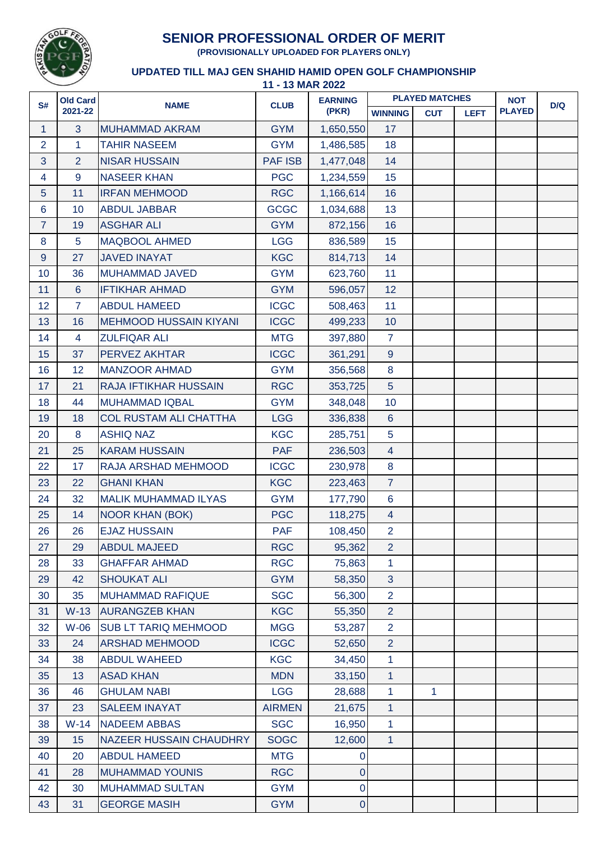

## **SENIOR PROFESSIONAL ORDER OF MERIT**

**(PROVISIONALLY UPLOADED FOR PLAYERS ONLY)**

## **11 - 13 MAR 2022 UPDATED TILL MAJ GEN SHAHID HAMID OPEN GOLF CHAMPIONSHIP**

| <b>PLAYED MATCHES</b> |            |             | <b>NOT</b>    | D/Q |
|-----------------------|------------|-------------|---------------|-----|
| <b>WINNING</b>        | <b>CUT</b> | <b>LEFT</b> | <b>PLAYED</b> |     |
| 17                    |            |             |               |     |
| 18                    |            |             |               |     |
| 14                    |            |             |               |     |
| 15                    |            |             |               |     |
| 16                    |            |             |               |     |
| 13                    |            |             |               |     |
| 16                    |            |             |               |     |
| 15                    |            |             |               |     |
| 14                    |            |             |               |     |
| 11                    |            |             |               |     |
| 12                    |            |             |               |     |
| 11                    |            |             |               |     |
| 10 <sup>°</sup>       |            |             |               |     |
| $\overline{7}$        |            |             |               |     |
| $\overline{9}$        |            |             |               |     |
| 8                     |            |             |               |     |
| 5                     |            |             |               |     |
| 10                    |            |             |               |     |
| $6\phantom{1}$        |            |             |               |     |
| 5                     |            |             |               |     |
| $\overline{4}$        |            |             |               |     |
| 8                     |            |             |               |     |
| $\overline{7}$        |            |             |               |     |
| $6\phantom{1}$        |            |             |               |     |
| $\overline{4}$        |            |             |               |     |
| $\overline{2}$        |            |             |               |     |
| 2                     |            |             |               |     |
| 1                     |            |             |               |     |
| 3                     |            |             |               |     |
| $\overline{2}$        |            |             |               |     |
| $\overline{2}$        |            |             |               |     |
| $\overline{2}$        |            |             |               |     |
| $\overline{2}$        |            |             |               |     |
| $\mathbf{1}$          |            |             |               |     |
| $\mathbf{1}$          |            |             |               |     |
| $\mathbf{1}$          | 1          |             |               |     |
| $\overline{1}$        |            |             |               |     |
| $\mathbf{1}$          |            |             |               |     |
| $\mathbf{1}$          |            |             |               |     |
|                       |            |             |               |     |
|                       |            |             |               |     |
|                       |            |             |               |     |
|                       |            |             |               |     |
|                       |            |             |               |     |